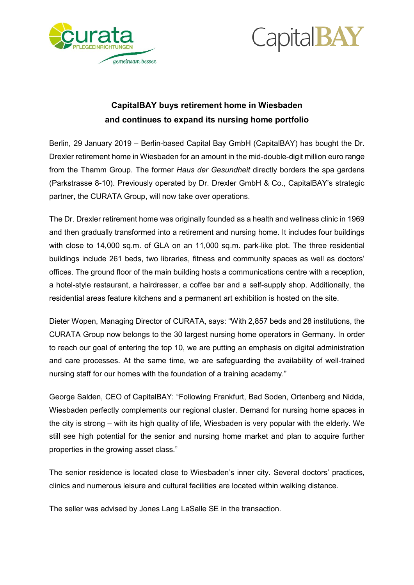



# **CapitalBAY buys retirement home in Wiesbaden and continues to expand its nursing home portfolio**

Berlin, 29 January 2019 – Berlin-based Capital Bay GmbH (CapitalBAY) has bought the Dr. Drexler retirement home in Wiesbaden for an amount in the mid-double-digit million euro range from the Thamm Group. The former *Haus der Gesundheit* directly borders the spa gardens (Parkstrasse 8-10). Previously operated by Dr. Drexler GmbH & Co., CapitalBAY's strategic partner, the CURATA Group, will now take over operations.

The Dr. Drexler retirement home was originally founded as a health and wellness clinic in 1969 and then gradually transformed into a retirement and nursing home. It includes four buildings with close to 14,000 sq.m. of GLA on an 11,000 sq.m. park-like plot. The three residential buildings include 261 beds, two libraries, fitness and community spaces as well as doctors' offices. The ground floor of the main building hosts a communications centre with a reception, a hotel-style restaurant, a hairdresser, a coffee bar and a self-supply shop. Additionally, the residential areas feature kitchens and a permanent art exhibition is hosted on the site.

Dieter Wopen, Managing Director of CURATA, says: "With 2,857 beds and 28 institutions, the CURATA Group now belongs to the 30 largest nursing home operators in Germany. In order to reach our goal of entering the top 10, we are putting an emphasis on digital administration and care processes. At the same time, we are safeguarding the availability of well-trained nursing staff for our homes with the foundation of a training academy."

George Salden, CEO of CapitalBAY: "Following Frankfurt, Bad Soden, Ortenberg and Nidda, Wiesbaden perfectly complements our regional cluster. Demand for nursing home spaces in the city is strong – with its high quality of life, Wiesbaden is very popular with the elderly. We still see high potential for the senior and nursing home market and plan to acquire further properties in the growing asset class."

The senior residence is located close to Wiesbaden's inner city. Several doctors' practices, clinics and numerous leisure and cultural facilities are located within walking distance.

The seller was advised by Jones Lang LaSalle SE in the transaction.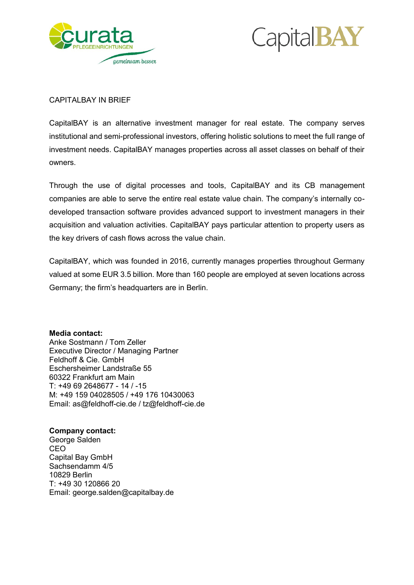



#### CAPITALBAY IN BRIEF

CapitalBAY is an alternative investment manager for real estate. The company serves institutional and semi-professional investors, offering holistic solutions to meet the full range of investment needs. CapitalBAY manages properties across all asset classes on behalf of their owners.

Through the use of digital processes and tools, CapitalBAY and its CB management companies are able to serve the entire real estate value chain. The company's internally codeveloped transaction software provides advanced support to investment managers in their acquisition and valuation activities. CapitalBAY pays particular attention to property users as the key drivers of cash flows across the value chain.

CapitalBAY, which was founded in 2016, currently manages properties throughout Germany valued at some EUR 3.5 billion. More than 160 people are employed at seven locations across Germany; the firm's headquarters are in Berlin.

**Media contact:** Anke Sostmann / Tom Zeller Executive Director / Managing Partner Feldhoff & Cie. GmbH Eschersheimer Landstraße 55 60322 Frankfurt am Main T: +49 69 2648677 - 14 / -15 M: +49 159 04028505 / +49 176 10430063 Email: as@feldhoff-cie.de / tz@feldhoff-cie.de

### **Company contact:**

George Salden CEO Capital Bay GmbH Sachsendamm 4/5 10829 Berlin T: +49 30 120866 20 Email: george.salden@capitalbay.de